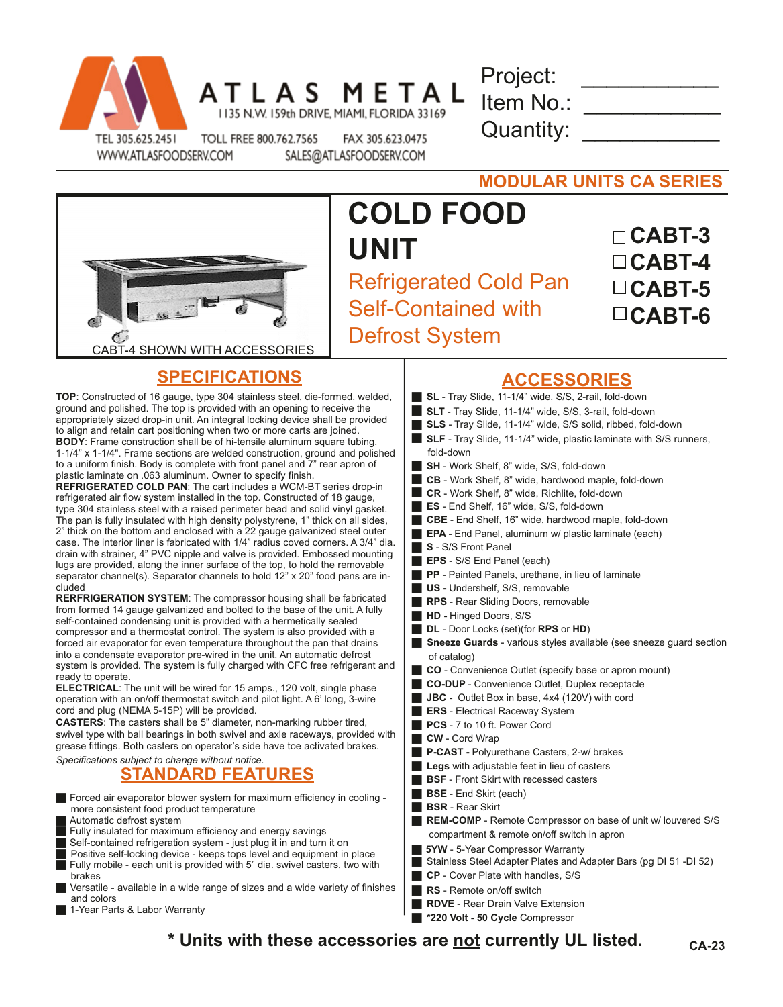

ATLAS METAL 1135 N.W. 159th DRIVE, MIAMI, FLORIDA 33169

Project: Item No.: Quantity:

WWW.ATLASFOODSERV.COM

TOLL FREE 800.762.7565 FAX 305.623.0475 SALES@ATLASFOODSERV.COM

**MODULAR UNITS CA SERIES**



## **COLD FOOD UNIT** Refrigerated Cold Pan Self-Contained with Defrost System

| $\Box$ CABT-3 |
|---------------|
| $\Box$ CABT-4 |
| $\Box$ CABT-5 |
| $\Box$ CABT-6 |

## **SPECIFICATIONS**

**TOP**: Constructed of 16 gauge, type 304 stainless steel, die-formed, welded, ground and polished. The top is provided with an opening to receive the appropriately sized drop-in unit. An integral locking device shall be provided to align and retain cart positioning when two or more carts are joined. **BODY**: Frame construction shall be of hi-tensile aluminum square tubing, 1-1/4" x 1-1/4". Frame sections are welded construction, ground and polished to a uniform finish. Body is complete with front panel and 7" rear apron of plastic laminate on .063 aluminum. Owner to specify finish.

**REFRIGERATED COLD PAN**: The cart includes a WCM-BT series drop-in refrigerated air flow system installed in the top. Constructed of 18 gauge, type 304 stainless steel with a raised perimeter bead and solid vinyl gasket. The pan is fully insulated with high density polystyrene, 1" thick on all sides, 2" thick on the bottom and enclosed with a 22 gauge galvanized steel outer case. The interior liner is fabricated with 1/4" radius coved corners. A 3/4" dia. drain with strainer, 4" PVC nipple and valve is provided. Embossed mounting lugs are provided, along the inner surface of the top, to hold the removable separator channel(s). Separator channels to hold 12" x 20" food pans are included

**RERFRIGERATION SYSTEM**: The compressor housing shall be fabricated from formed 14 gauge galvanized and bolted to the base of the unit. A fully self-contained condensing unit is provided with a hermetically sealed compressor and a thermostat control. The system is also provided with a forced air evaporator for even temperature throughout the pan that drains into a condensate evaporator pre-wired in the unit. An automatic defrost system is provided. The system is fully charged with CFC free refrigerant and ready to operate.

**ELECTRICAL**: The unit will be wired for 15 amps., 120 volt, single phase operation with an on/off thermostat switch and pilot light. A 6' long, 3-wire cord and plug (NEMA 5-15P) will be provided.

**CASTERS**: The casters shall be 5" diameter, non-marking rubber tired, swivel type with ball bearings in both swivel and axle raceways, provided with grease fittings. Both casters on operator's side have toe activated brakes.

## *Specifications subject to change without notice.* **STANDARD FEATURES**

Forced air evaporator blower system for maximum efficiency in cooling more consistent food product temperature

Automatic defrost system

Fully insulated for maximum efficiency and energy savings

Self-contained refrigeration system - just plug it in and turn it on

Positive self-locking device - keeps tops level and equipment in place Fully mobile - each unit is provided with 5" dia. swivel casters, two with brakes

- Versatile available in a wide range of sizes and a wide variety of finishes and colors
- 1-Year Parts & Labor Warranty
- **ACCESSORIES**
- **SL** Tray Slide, 11-1/4" wide, S/S, 2-rail, fold-down **SLT** - Tray Slide, 11-1/4" wide, S/S, 3-rail, fold-down **SLS** - Tray Slide, 11-1/4" wide, S/S solid, ribbed, fold-down **SLF** - Tray Slide, 11-1/4" wide, plastic laminate with S/S runners, fold-down **SH** - Work Shelf, 8" wide, S/S, fold-down **CB** - Work Shelf, 8" wide, hardwood maple, fold-down **CR** - Work Shelf, 8" wide, Richlite, fold-down **ES** - End Shelf, 16" wide, S/S, fold-down **CBE** - End Shelf, 16" wide, hardwood maple, fold-down **EPA** - End Panel, aluminum w/ plastic laminate (each) **S** - S/S Front Panel **EPS** - S/S End Panel (each) **PP** - Painted Panels, urethane, in lieu of laminate **US** - Undershelf, S/S, removable **RPS** - Rear Sliding Doors, removable **HD - Hinged Doors, S/S DL** - Door Locks (set)(for **RPS** or **HD**) **Sneeze Guards** - various styles available (see sneeze guard section of catalog) g **CO** - Convenience Outlet (specify base or apron mount) **CO-DUP** - Convenience Outlet, Duplex receptacle ■ **JBC** - Outlet Box in base, 4x4 (120V) with cord **ERS** - Electrical Raceway System **PCS** - 7 to 10 ft. Power Cord **CW** - Cord Wrap g **P-CAST -** Polyurethane Casters, 2-w/ brakes **Legs** with adjustable feet in lieu of casters **BSF** - Front Skirt with recessed casters **BSE** - End Skirt (each) **BSR** - Rear Skirt **REM-COMP** - Remote Compressor on base of unit w/ louvered S/S compartment & remote on/off switch in apron **5YW** - 5-Year Compressor Warranty Stainless Steel Adapter Plates and Adapter Bars (pg DI 51 -DI 52) g **CP** - Cover Plate with handles, S/S **RS** - Remote on/off switch
- **\* Units with these accessories are not currently UL listed. CA-23**

**RDVE** - Rear Drain Valve Extension **g** \*220 Volt - 50 Cycle Compressor